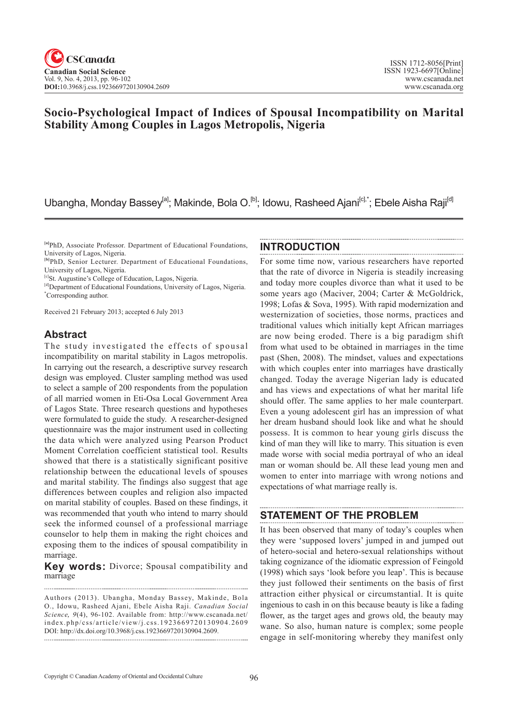# **Socio-Psychological Impact of Indices of Spousal Incompatibility on Marital Stability Among Couples in Lagos Metropolis, Nigeria**

Ubangha, Monday Bassey<sup>[a]</sup>; Makinde, Bola O.<sup>[b]</sup>; Idowu, Rasheed Ajani<sup>[c],\*</sup>; Ebele Aisha Raji<sup>[d]</sup>

Received 21 February 2013; accepted 6 July 2013

# **Abstract**

The study investigated the effects of spousal incompatibility on marital stability in Lagos metropolis. In carrying out the research, a descriptive survey research design was employed. Cluster sampling method was used to select a sample of 200 respondents from the population of all married women in Eti-Osa Local Government Area of Lagos State. Three research questions and hypotheses were formulated to guide the study. A researcher-designed questionnaire was the major instrument used in collecting the data which were analyzed using Pearson Product Moment Correlation coefficient statistical tool. Results showed that there is a statistically significant positive relationship between the educational levels of spouses and marital stability. The findings also suggest that age differences between couples and religion also impacted on marital stability of couples. Based on these findings, it was recommended that youth who intend to marry should seek the informed counsel of a professional marriage counselor to help them in making the right choices and exposing them to the indices of spousal compatibility in marriage.

**Key words:** Divorce; Spousal compatibility and marriage

Authors (2013). Ubangha, Monday Bassey, Makinde, Bola O., Idowu, Rasheed Ajani, Ebele Aisha Raji. *Canadian Social Science*, 9(4), 96-102. Available from: http://www.cscanada.net/ index.php/css/article/view/j.css.1923669720130904.2609 DOI: http://dx.doi.org/10.3968/j.css.1923669720130904.2609. 

### **INTRODUCTION**

For some time now, various researchers have reported that the rate of divorce in Nigeria is steadily increasing and today more couples divorce than what it used to be some years ago (Maciver, 2004; Carter & McGoldrick, 1998; Lofas & Sova, 1995). With rapid modernization and westernization of societies, those norms, practices and traditional values which initially kept African marriages are now being eroded. There is a big paradigm shift from what used to be obtained in marriages in the time past (Shen, 2008). The mindset, values and expectations with which couples enter into marriages have drastically changed. Today the average Nigerian lady is educated and has views and expectations of what her marital life should offer. The same applies to her male counterpart. Even a young adolescent girl has an impression of what her dream husband should look like and what he should possess. It is common to hear young girls discuss the kind of man they will like to marry. This situation is even made worse with social media portrayal of who an ideal man or woman should be. All these lead young men and women to enter into marriage with wrong notions and expectations of what marriage really is.

# **STATEMENT OF THE PROBLEM**

It has been observed that many of today's couples when they were 'supposed lovers' jumped in and jumped out of hetero-social and hetero-sexual relationships without taking cognizance of the idiomatic expression of Feingold (1998) which says 'look before you leap'. This is because they just followed their sentiments on the basis of first attraction either physical or circumstantial. It is quite ingenious to cash in on this because beauty is like a fading flower, as the target ages and grows old, the beauty may wane. So also, human nature is complex; some people engage in self-monitoring whereby they manifest only

**<sup>[</sup>a]**PhD, Associate Professor. Department of Educational Foundations, University of Lagos, Nigeria.

**<sup>[</sup>b]**PhD, Senior Lecturer. Department of Educational Foundations, University of Lagos, Nigeria.

<sup>[</sup>c]St. Augustine's College of Education, Lagos, Nigeria.

<sup>[</sup>d] Department of Educational Foundations, University of Lagos, Nigeria. \* Corresponding author.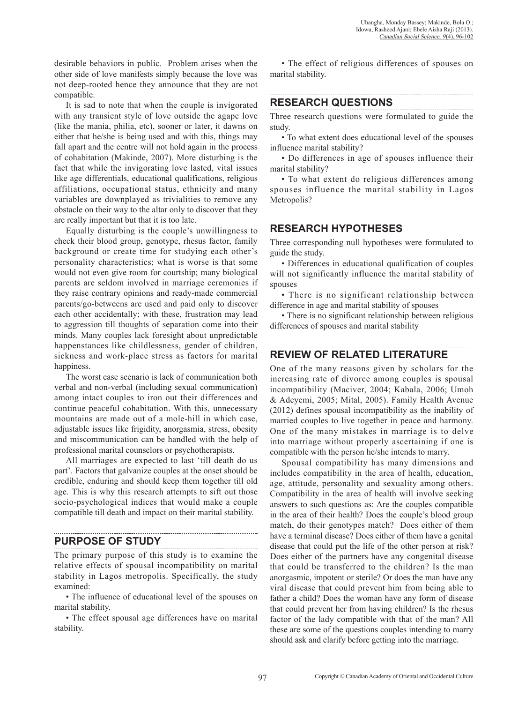desirable behaviors in public. Problem arises when the other side of love manifests simply because the love was not deep-rooted hence they announce that they are not compatible.

It is sad to note that when the couple is invigorated with any transient style of love outside the agape love (like the mania, philia, etc), sooner or later, it dawns on either that he/she is being used and with this, things may fall apart and the centre will not hold again in the process of cohabitation (Makinde, 2007). More disturbing is the fact that while the invigorating love lasted, vital issues like age differentials, educational qualifications, religious affiliations, occupational status, ethnicity and many variables are downplayed as trivialities to remove any obstacle on their way to the altar only to discover that they are really important but that it is too late.

Equally disturbing is the couple's unwillingness to check their blood group, genotype, rhesus factor, family background or create time for studying each other's personality characteristics; what is worse is that some would not even give room for courtship; many biological parents are seldom involved in marriage ceremonies if they raise contrary opinions and ready-made commercial parents/go-betweens are used and paid only to discover each other accidentally; with these, frustration may lead to aggression till thoughts of separation come into their minds. Many couples lack foresight about unpredictable happenstances like childlessness, gender of children, sickness and work-place stress as factors for marital happiness.

The worst case scenario is lack of communication both verbal and non-verbal (including sexual communication) among intact couples to iron out their differences and continue peaceful cohabitation. With this, unnecessary mountains are made out of a mole-hill in which case, adjustable issues like frigidity, anorgasmia, stress, obesity and miscommunication can be handled with the help of professional marital counselors or psychotherapists.

All marriages are expected to last 'till death do us part'. Factors that galvanize couples at the onset should be credible, enduring and should keep them together till old age. This is why this research attempts to sift out those socio-psychological indices that would make a couple compatible till death and impact on their marital stability.

**PURPOSE OF STUDY** 

The primary purpose of this study is to examine the relative effects of spousal incompatibility on marital stability in Lagos metropolis. Specifically, the study examined:

• The influence of educational level of the spouses on marital stability.

• The effect spousal age differences have on marital stability.

• The effect of religious differences of spouses on marital stability.

# **RESEARCH QUESTIONS**

Three research questions were formulated to guide the study.

• To what extent does educational level of the spouses influence marital stability?

• Do differences in age of spouses influence their marital stability?

• To what extent do religious differences among spouses influence the marital stability in Lagos Metropolis?

## **RESEARCH HYPOTHESES**

Three corresponding null hypotheses were formulated to guide the study.

• Differences in educational qualification of couples will not significantly influence the marital stability of spouses

• There is no significant relationship between difference in age and marital stability of spouses

• There is no significant relationship between religious differences of spouses and marital stability

# **REVIEW OF RELATED LITERATURE**

One of the many reasons given by scholars for the increasing rate of divorce among couples is spousal incompatibility (Maciver, 2004; Kabala, 2006; Umoh & Adeyemi, 2005; Mital, 2005). Family Health Avenue (2012) defines spousal incompatibility as the inability of married couples to live together in peace and harmony. One of the many mistakes in marriage is to delve into marriage without properly ascertaining if one is compatible with the person he/she intends to marry.

Spousal compatibility has many dimensions and includes compatibility in the area of health, education, age, attitude, personality and sexuality among others. Compatibility in the area of health will involve seeking answers to such questions as: Are the couples compatible in the area of their health? Does the couple's blood group match, do their genotypes match? Does either of them have a terminal disease? Does either of them have a genital disease that could put the life of the other person at risk? Does either of the partners have any congenital disease that could be transferred to the children? Is the man anorgasmic, impotent or sterile? Or does the man have any viral disease that could prevent him from being able to father a child? Does the woman have any form of disease that could prevent her from having children? Is the rhesus factor of the lady compatible with that of the man? All these are some of the questions couples intending to marry should ask and clarify before getting into the marriage.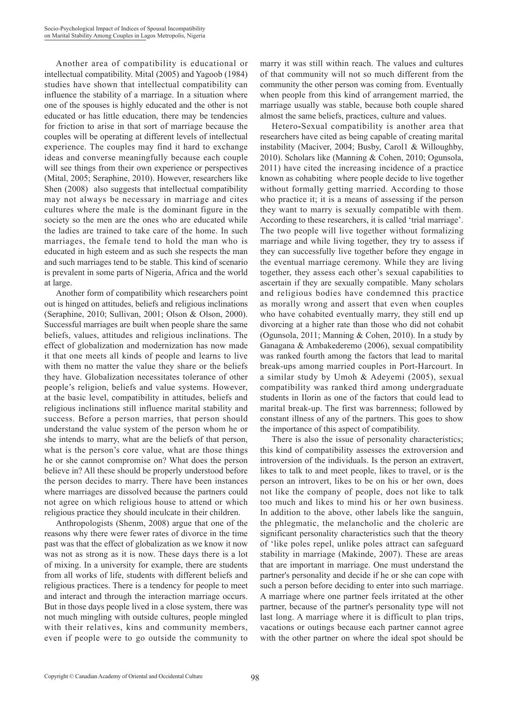Another area of compatibility is educational or intellectual compatibility. Mital (2005) and Yagoob (1984) studies have shown that intellectual compatibility can influence the stability of a marriage. In a situation where one of the spouses is highly educated and the other is not educated or has little education, there may be tendencies for friction to arise in that sort of marriage because the couples will be operating at different levels of intellectual experience. The couples may find it hard to exchange ideas and converse meaningfully because each couple will see things from their own experience or perspectives (Mital, 2005; Seraphine, 2010). However, researchers like Shen (2008) also suggests that intellectual compatibility may not always be necessary in marriage and cites cultures where the male is the dominant figure in the society so the men are the ones who are educated while the ladies are trained to take care of the home. In such marriages, the female tend to hold the man who is educated in high esteem and as such she respects the man and such marriages tend to be stable. This kind of scenario is prevalent in some parts of Nigeria, Africa and the world at large.

Another form of compatibility which researchers point out is hinged on attitudes, beliefs and religious inclinations (Seraphine, 2010; Sullivan, 2001; Olson & Olson, 2000). Successful marriages are built when people share the same beliefs, values, attitudes and religious inclinations. The effect of globalization and modernization has now made it that one meets all kinds of people and learns to live with them no matter the value they share or the beliefs they have. Globalization necessitates tolerance of other people's religion, beliefs and value systems. However, at the basic level, compatibility in attitudes, beliefs and religious inclinations still influence marital stability and success. Before a person marries, that person should understand the value system of the person whom he or she intends to marry, what are the beliefs of that person, what is the person's core value, what are those things he or she cannot compromise on? What does the person believe in? All these should be properly understood before the person decides to marry. There have been instances where marriages are dissolved because the partners could not agree on which religious house to attend or which religious practice they should inculcate in their children.

Anthropologists (Shenm, 2008) argue that one of the reasons why there were fewer rates of divorce in the time past was that the effect of globalization as we know it now was not as strong as it is now. These days there is a lot of mixing. In a university for example, there are students from all works of life, students with different beliefs and religious practices. There is a tendency for people to meet and interact and through the interaction marriage occurs. But in those days people lived in a close system, there was not much mingling with outside cultures, people mingled with their relatives, kins and community members, even if people were to go outside the community to marry it was still within reach. The values and cultures of that community will not so much different from the community the other person was coming from. Eventually when people from this kind of arrangement married, the marriage usually was stable, because both couple shared almost the same beliefs, practices, culture and values.

Hetero**-**Sexual compatibility is another area that researchers have cited as being capable of creating marital instability (Maciver, 2004; Busby, Carol1 & Willoughby, 2010). Scholars like (Manning & Cohen, 2010; Ogunsola, 2011) have cited the increasing incidence of a practice known as cohabiting where people decide to live together without formally getting married. According to those who practice it; it is a means of assessing if the person they want to marry is sexually compatible with them. According to these researchers, it is called 'trial marriage'. The two people will live together without formalizing marriage and while living together, they try to assess if they can successfully live together before they engage in the eventual marriage ceremony. While they are living together, they assess each other's sexual capabilities to ascertain if they are sexually compatible. Many scholars and religious bodies have condemned this practice as morally wrong and assert that even when couples who have cohabited eventually marry, they still end up divorcing at a higher rate than those who did not cohabit (Ogunsola, 2011; Manning & Cohen, 2010). In a study by Ganagana & Ambakederemo (2006), sexual compatibility was ranked fourth among the factors that lead to marital break-ups among married couples in Port-Harcourt. In a similar study by Umoh & Adeyemi (2005), sexual compatibility was ranked third among undergraduate students in Ilorin as one of the factors that could lead to marital break-up. The first was barrenness; followed by constant illness of any of the partners. This goes to show the importance of this aspect of compatibility.

There is also the issue of personality characteristics; this kind of compatibility assesses the extroversion and introversion of the individuals. Is the person an extravert, likes to talk to and meet people, likes to travel, or is the person an introvert, likes to be on his or her own, does not like the company of people, does not like to talk too much and likes to mind his or her own business. In addition to the above, other labels like the sanguin, the phlegmatic, the melancholic and the choleric are significant personality characteristics such that the theory of 'like poles repel, unlike poles attract can safeguard stability in marriage (Makinde, 2007). These are areas that are important in marriage. One must understand the partner's personality and decide if he or she can cope with such a person before deciding to enter into such marriage. A marriage where one partner feels irritated at the other partner, because of the partner's personality type will not last long. A marriage where it is difficult to plan trips, vacations or outings because each partner cannot agree with the other partner on where the ideal spot should be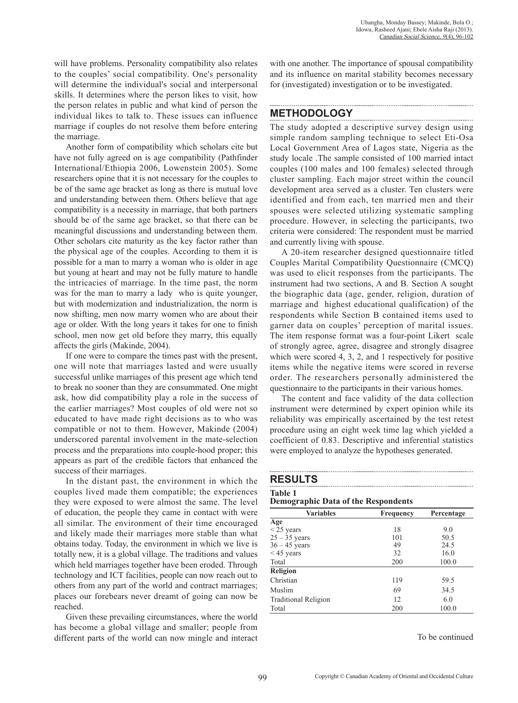will have problems. Personality compatibility also relates to the couples' social compatibility. One's personality will determine the individual's social and interpersonal skills. It determines where the person likes to visit, how the person relates in public and what kind of person the individual likes to talk to. These issues can influence marriage if couples do not resolve them before entering the marriage.

Another form of compatibility which scholars cite but have not fully agreed on is age compatibility (Pathfinder International/Ethiopia 2006, Lowenstein 2005). Some researchers opine that it is not necessary for the couples to be of the same age bracket as long as there is mutual love and understanding between them. Others believe that age compatibility is a necessity in marriage, that both partners should be of the same age bracket, so that there can be meaningful discussions and understanding between them. Other scholars cite maturity as the key factor rather than the physical age of the couples. According to them it is possible for a man to marry a woman who is older in age but young at heart and may not be fully mature to handle the intricacies of marriage. In the time past, the norm was for the man to marry a lady who is quite younger, but with modernization and industrialization, the norm is now shifting, men now marry women who are about their age or older. With the long years it takes for one to finish school, men now get old before they marry, this equally affects the girls (Makinde, 2004).

If one were to compare the times past with the present, one will note that marriages lasted and were usually successful unlike marriages of this present age which tend to break no sooner than they are consummated. One might ask, how did compatibility play a role in the success of the earlier marriages? Most couples of old were not so educated to have made right decisions as to who was compatible or not to them. However, Makinde (2004) underscored parental involvement in the mate-selection process and the preparations into couple-hood proper; this appears as part of the credible factors that enhanced the success of their marriages.

In the distant past, the environment in which the couples lived made them compatible; the experiences they were exposed to were almost the same. The level of education, the people they came in contact with were all similar. The environment of their time encouraged and likely made their marriages more stable than what obtains today. Today, the environment in which we live is totally new, it is a global village. The traditions and values which held marriages together have been eroded. Through technology and ICT facilities, people can now reach out to others from any part of the world and contract marriages; places our forebears never dreamt of going can now be reached.

Given these prevailing circumstances, where the world has become a global village and smaller; people from different parts of the world can now mingle and interact with one another. The importance of spousal compatibility and its influence on marital stability becomes necessary for (investigated) investigation or to be investigated.

#### **METHODOLOGY**

The study adopted a descriptive survey design using simple random sampling technique to select Eti-Osa Local Government Area of Lagos state, Nigeria as the study locale .The sample consisted of 100 married intact couples (100 males and 100 females) selected through cluster sampling. Each major street within the council development area served as a cluster. Ten clusters were identified and from each, ten married men and their spouses were selected utilizing systematic sampling procedure. However, in selecting the participants, two criteria were considered: The respondent must be married and currently living with spouse.

A 20-item researcher designed questionnaire titled Couples Marital Compatibility Questionnaire (CMCQ) was used to elicit responses from the participants. The instrument had two sections, A and B. Section A sought the biographic data (age, gender, religion, duration of marriage and highest educational qualification) of the respondents while Section B contained items used to garner data on couples' perception of marital issues. The item response format was a four-point Likert scale of strongly agree, agree, disagree and strongly disagree which were scored 4, 3, 2, and 1 respectively for positive items while the negative items were scored in reverse order. The researchers personally administered the questionnaire to the participants in their various homes.

The content and face validity of the data collection instrument were determined by expert opinion while its reliability was empirically ascertained by the test retest procedure using an eight week time lag which yielded a coefficient of 0.83. Descriptive and inferential statistics were employed to analyze the hypotheses generated.

### **RESULTS**

# **Table 1**

**Demographic Data of the Respondents** 

| <b>Variables</b>            | Frequency | Percentage |  |
|-----------------------------|-----------|------------|--|
| Age                         |           |            |  |
| $<$ 25 years                | 18        | 9.0        |  |
| $25 - 35$ years             | 101       | 50.5       |  |
| $36 - 45$ years             | 49        | 24.5       |  |
| $<$ 45 years                | 32        | 16.0       |  |
| Total                       | 200       | 100.0      |  |
| <b>Religion</b>             |           |            |  |
| Christian                   | 119       | 59.5       |  |
| Muslim                      | 69        | 34.5       |  |
| <b>Traditional Religion</b> | 12        | 6.0        |  |
| Total                       | 200       | 100.0      |  |

To be continued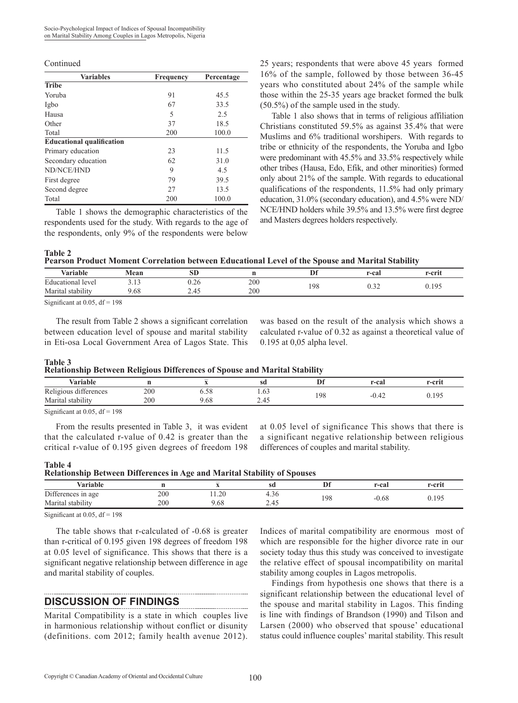| <b>Variables</b>                 | Frequency | Percentage |
|----------------------------------|-----------|------------|
| <b>Tribe</b>                     |           |            |
| Yoruba                           | 91        | 45.5       |
| Igbo                             | 67        | 33.5       |
| Hausa                            | 5         | 2.5        |
| Other                            | 37        | 18.5       |
| Total                            | 200       | 100.0      |
| <b>Educational qualification</b> |           |            |
| Primary education                | 23        | 11.5       |
| Secondary education              | 62        | 31.0       |
| ND/NCE/HND                       | 9         | 4.5        |
| First degree                     | 79        | 39.5       |
| Second degree                    | 27        | 13.5       |
| Total                            | 200       | 100.0      |

Table 1 shows the demographic characteristics of the respondents used for the study. With regards to the age of the respondents, only 9% of the respondents were below

Continued 25 years; respondents that were above 45 years formed 16% of the sample, followed by those between 36-45 years who constituted about 24% of the sample while those within the 25-35 years age bracket formed the bulk (50.5%) of the sample used in the study.

> Table 1 also shows that in terms of religious affiliation Christians constituted 59.5% as against 35.4% that were Muslims and 6% traditional worshipers. With regards to tribe or ethnicity of the respondents, the Yoruba and Igbo were predominant with 45.5% and 33.5% respectively while other tribes (Hausa, Edo, Efik, and other minorities) formed only about 21% of the sample. With regards to educational qualifications of the respondents, 11.5% had only primary education, 31.0% (secondary education), and 4.5% were ND/ NCE/HND holders while 39.5% and 13.5% were first degree and Masters degrees holders respectively.

#### **Table 2**

| --------                                                                                         |  |  |
|--------------------------------------------------------------------------------------------------|--|--|
| Pearson Product Moment Correlation between Educational Level of the Spouse and Marital Stability |  |  |

| <b>Variable</b>                                                           | Mean        | <b>SD</b>      |     | Df  | r-cal  | r-crit |
|---------------------------------------------------------------------------|-------------|----------------|-----|-----|--------|--------|
| Educational level                                                         | 12<br>ر 1 . | $\sim$<br>7.∠0 | 200 | 198 | $\sim$ | 0.195  |
| $\cdots$<br>Marital<br>. stability                                        | 9.68        | ี่ ⊥ี้ −ี้ −   | 200 |     | ∪.J∠   |        |
| $\sim$ $\sim$<br>$\cdot$ $\cdot$ $\wedge$ $\wedge$ $\sim$ $\cdot$ $\cdot$ | 100         |                |     |     |        |        |

Significant at  $0.05$ , df = 198

The result from Table 2 shows a significant correlation between education level of spouse and marital stability in Eti-osa Local Government Area of Lagos State. This

was based on the result of the analysis which shows a calculated r-value of 0.32 as against a theoretical value of 0.195 at 0,05 alpha level.

#### **Table 3**

**Table 4**

| Relationship Between Religious Differences of Spouse and Marital Stability |  |  |  |  |
|----------------------------------------------------------------------------|--|--|--|--|
|----------------------------------------------------------------------------|--|--|--|--|

| . .                                |     |      |                              | . . |                |        |
|------------------------------------|-----|------|------------------------------|-----|----------------|--------|
| Variable                           |     | $-$  | sd                           |     | r-cal          | r-crit |
| Religious differences              | 200 | ს.სი | 1.03                         | 198 |                | 0.195  |
| $\cdots$<br>Marital<br>. stability | 200 | .68  | ⌒<br>4 <sup>4</sup><br>ن⊤. ک |     | $-0.4\epsilon$ |        |
|                                    |     |      |                              |     |                |        |

Significant at  $0.05$ , df = 198

From the results presented in Table 3, it was evident that the calculated r-value of 0.42 is greater than the critical r-value of 0.195 given degrees of freedom 198 at 0.05 level of significance This shows that there is a significant negative relationship between religious differences of couples and marital stability.

| таріс <del>ч</del>                                                       |  |  |  |  |
|--------------------------------------------------------------------------|--|--|--|--|
| Relationship Between Differences in Age and Marital Stability of Spouses |  |  |  |  |

|                      | $\sim$ |                          | $\sim$     |          |       |        |
|----------------------|--------|--------------------------|------------|----------|-------|--------|
| . .<br>⁄ariable      |        | $\overline{\phantom{a}}$ | sd         | Df<br>v. | r-cai | r-crit |
| Differences in age   | 200    | $\cap$<br>11.20          | 4.30<br>д. |          |       | 0.195  |
| stability<br>Marital | 200    | .68                      | 2.4J       | 198      | 0.68  |        |

Significant at  $0.05$ , df = 198

The table shows that r-calculated of -0.68 is greater than r-critical of 0.195 given 198 degrees of freedom 198 at 0.05 level of significance. This shows that there is a significant negative relationship between difference in age and marital stability of couples.

### **DISCUSSION OF FINDINGS**

Marital Compatibility is a state in which couples live in harmonious relationship without conflict or disunity (definitions. com 2012; family health avenue 2012).

Indices of marital compatibility are enormous most of which are responsible for the higher divorce rate in our society today thus this study was conceived to investigate the relative effect of spousal incompatibility on marital stability among couples in Lagos metropolis.

Findings from hypothesis one shows that there is a significant relationship between the educational level of the spouse and marital stability in Lagos. This finding is line with findings of Brandson (1990) and Tilson and Larsen (2000) who observed that spouse' educational status could influence couples' marital stability. This result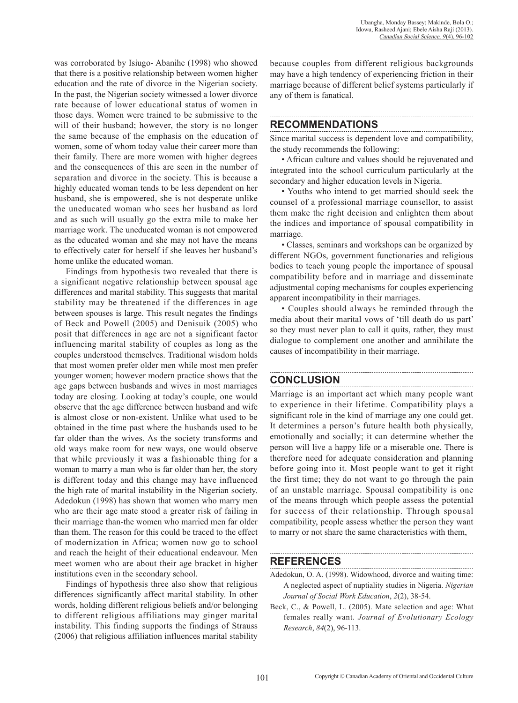was corroborated by Isiugo- Abanihe (1998) who showed that there is a positive relationship between women higher education and the rate of divorce in the Nigerian society. In the past, the Nigerian society witnessed a lower divorce rate because of lower educational status of women in those days. Women were trained to be submissive to the will of their husband; however, the story is no longer the same because of the emphasis on the education of women, some of whom today value their career more than their family. There are more women with higher degrees and the consequences of this are seen in the number of separation and divorce in the society. This is because a highly educated woman tends to be less dependent on her husband, she is empowered, she is not desperate unlike the uneducated woman who sees her husband as lord and as such will usually go the extra mile to make her marriage work. The uneducated woman is not empowered as the educated woman and she may not have the means to effectively cater for herself if she leaves her husband's home unlike the educated woman.

Findings from hypothesis two revealed that there is a significant negative relationship between spousal age differences and marital stability. This suggests that marital stability may be threatened if the differences in age between spouses is large. This result negates the findings of Beck and Powell (2005) and Denisuik (2005) who posit that differences in age are not a significant factor influencing marital stability of couples as long as the couples understood themselves. Traditional wisdom holds that most women prefer older men while most men prefer younger women; however modern practice shows that the age gaps between husbands and wives in most marriages today are closing. Looking at today's couple, one would observe that the age difference between husband and wife is almost close or non-existent. Unlike what used to be obtained in the time past where the husbands used to be far older than the wives. As the society transforms and old ways make room for new ways, one would observe that while previously it was a fashionable thing for a woman to marry a man who is far older than her, the story is different today and this change may have influenced the high rate of marital instability in the Nigerian society. Adedokun (1998) has shown that women who marry men who are their age mate stood a greater risk of failing in their marriage than-the women who married men far older than them. The reason for this could be traced to the effect of modernization in Africa; women now go to school and reach the height of their educational endeavour. Men meet women who are about their age bracket in higher institutions even in the secondary school.

Findings of hypothesis three also show that religious differences significantly affect marital stability. In other words, holding different religious beliefs and/or belonging to different religious affiliations may ginger marital instability. This finding supports the findings of Strauss (2006) that religious affiliation influences marital stability because couples from different religious backgrounds may have a high tendency of experiencing friction in their marriage because of different belief systems particularly if any of them is fanatical.

### **RECOMMENDATIONS**

Since marital success is dependent love and compatibility, the study recommends the following:

• African culture and values should be rejuvenated and integrated into the school curriculum particularly at the secondary and higher education levels in Nigeria.

• Youths who intend to get married should seek the counsel of a professional marriage counsellor, to assist them make the right decision and enlighten them about the indices and importance of spousal compatibility in marriage.

• Classes, seminars and workshops can be organized by different NGOs, government functionaries and religious bodies to teach young people the importance of spousal compatibility before and in marriage and disseminate adjustmental coping mechanisms for couples experiencing apparent incompatibility in their marriages.

• Couples should always be reminded through the media about their marital vows of 'till death do us part' so they must never plan to call it quits, rather, they must dialogue to complement one another and annihilate the causes of incompatibility in their marriage.

## **CONCLUSION**

Marriage is an important act which many people want to experience in their lifetime. Compatibility plays a significant role in the kind of marriage any one could get. It determines a person's future health both physically, emotionally and socially; it can determine whether the person will live a happy life or a miserable one. There is therefore need for adequate consideration and planning before going into it. Most people want to get it right the first time; they do not want to go through the pain of an unstable marriage. Spousal compatibility is one of the means through which people assess the potential for success of their relationship. Through spousal compatibility, people assess whether the person they want to marry or not share the same characteristics with them,

## **REFERENCES**

- Adedokun, O. A. (1998). Widowhood, divorce and waiting time: A neglected aspect of nuptiality studies in Nigeria. *Nigerian Journal of Social Work Education*, *2*(2), 38-54.
- Beck, C., & Powell, L. (2005). Mate selection and age: What females really want. *Journal of Evolutionary Ecology Research*, *84*(2), 96-113.